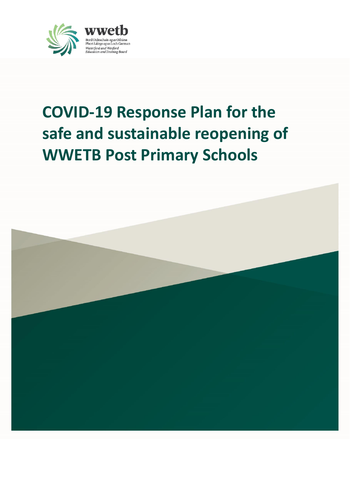

# **COVID-19 Response Plan for the safe and sustainable reopening of WWETB Post Primary Schools**

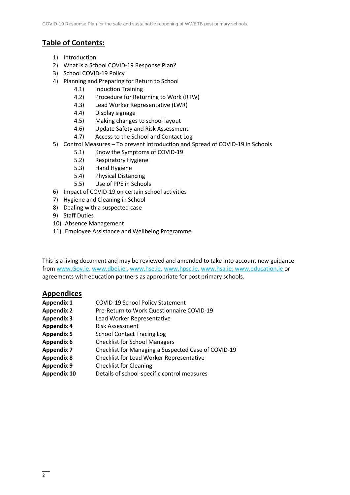### **Table of Contents:**

- 1) Introduction
- 2) What is a School COVID-19 Response Plan?
- 3) School COVID-19 Policy
- 4) Planning and Preparing for Return to School
	- 4.1) Induction Training
	- 4.2) Procedure for Returning to Work (RTW)
	- 4.3) Lead Worker Representative (LWR)
	- 4.4) Display signage
	- 4.5) Making changes to school layout
	- 4.6) Update Safety and Risk Assessment
	- 4.7) Access to the School and Contact Log
- 5) Control Measures To prevent Introduction and Spread of COVID-19 in Schools
	- 5.1) Know the Symptoms of COVID-19
	- 5.2) Respiratory Hygiene
	- 5.3) Hand Hygiene
	- 5.4) Physical Distancing
	- 5.5) Use of PPE in Schools
- 6) Impact of COVID-19 on certain school activities
- 7) Hygiene and Cleaning in School
- 8) Dealing with a suspected case
- 9) Staff Duties
- 10) Absence Management
- 11) Employee Assistance and Wellbeing Programme

This is a living document and may be reviewed and amended to take into account new guidance from [www.Gov.ie,](http://www.gov.ie/) [www.dbei.ie](http://www.dbei.ie/) , [www.hse.ie,](http://www.hse.ie/) [www.hpsc.ie,](http://www.hpsc.ie/) [www.hsa.ie;](http://www.hsa.ie/) [www.education.ie](http://www.education.ie/) or agreements with education partners as appropriate for post primary schools.

### **Appendices**

- **Appendix 1** COVID-19 School Policy Statement
- **Appendix 2** Pre-Return to Work Questionnaire COVID-19
- **Appendix 3** Lead Worker Representative
- **Appendix 4** Risk Assessment
- **Appendix 5** School Contact Tracing Log
- **Appendix 6** Checklist for School Managers
- **Appendix 7** Checklist for Managing a Suspected Case of COVID-19
- **Appendix 8** Checklist for Lead Worker Representative
- **Appendix 9** Checklist for Cleaning
- **Appendix 10** Details of school-specific control measures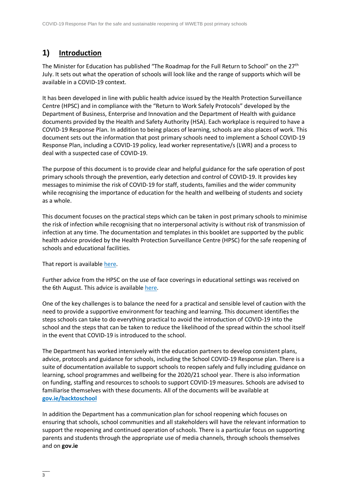# **1) Introduction**

The Minister for Education has published "The Roadmap for the Full Return to School" on the 27<sup>th</sup> July. It sets out what the operation of schools will look like and the range of supports which will be available in a COVID-19 context.

It has been developed in line with public health advice issued by the Health Protection Surveillance Centre (HPSC) and in compliance with the "Return to Work Safely Protocols" developed by the Department of Business, Enterprise and Innovation and the Department of Health with guidance documents provided by the Health and Safety Authority (HSA). Each workplace is required to have a COVID-19 Response Plan. In addition to being places of learning, schools are also places of work. This document sets out the information that post primary schools need to implement a School COVID-19 Response Plan, including a COVID-19 policy, lead worker representative/s (LWR) and a process to deal with a suspected case of COVID-19.

The purpose of this document is to provide clear and helpful guidance for the safe operation of post primary schools through the prevention, early detection and control of COVID-19. It provides key messages to minimise the risk of COVID-19 for staff, students, families and the wider community while recognising the importance of education for the health and wellbeing of students and society as a whole.

This document focuses on the practical steps which can be taken in post primary schools to minimise the risk of infection while recognising that no interpersonal activity is without risk of transmission of infection at any time. The documentation and templates in this booklet are supported by the public health advice provided by the Health Protection Surveillance Centre (HPSC) for the safe reopening of schools and educational facilities.

That report is available [here.](https://assets.gov.ie/82096/38b543b3-3245-4227-8f6a-7a167e684adb.pdf)

Further advice from the HPSC on the use of face coverings in educational settings was received on the 6th August. This advice is availabl[e here.](https://assets.gov.ie/83506/86fba2a7-26da-4c19-bce3-b0d01aaaf59b.pdf)

One of the key challenges is to balance the need for a practical and sensible level of caution with the need to provide a supportive environment for teaching and learning. This document identifies the steps schools can take to do everything practical to avoid the introduction of COVID-19 into the school and the steps that can be taken to reduce the likelihood of the spread within the school itself in the event that COVID-19 is introduced to the school.

The Department has worked intensively with the education partners to develop consistent plans, advice, protocols and guidance for schools, including the School COVID-19 Response plan. There is a suite of documentation available to support schools to reopen safely and fully including guidance on learning, school programmes and wellbeing for the 2020/21 school year. There is also information on funding, staffing and resources to schools to support COVID-19 measures. Schools are advised to familiarise themselves with these documents. All of the documents will be available at **[gov.ie/backtoschool](http://www.gov.ie/backtoschool)**

In addition the Department has a communication plan for school reopening which focuses on ensuring that schools, school communities and all stakeholders will have the relevant information to support the reopening and continued operation of schools. There is a particular focus on supporting parents and students through the appropriate use of media channels, through schools themselves and on **gov.ie**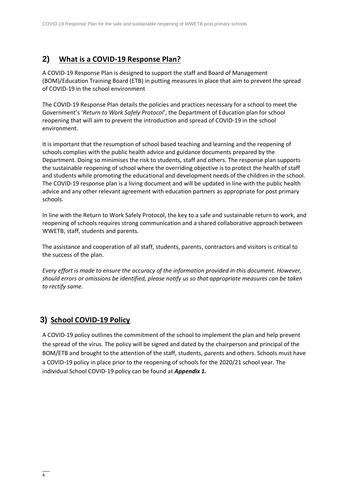### **2) What is a COVID-19 Response Plan?**

A COVID-19 Response Plan is designed to support the staff and Board of Management (BOM)/Education Training Board (ETB) in putting measures in place that aim to prevent the spread of COVID-19 in the school environment

The COVID-19 Response Plan details the policies and practices necessary for a school to meet the Government's '*Return to Work Safely Protocol'*, the Department of Education plan for school reopening that will aim to prevent the introduction and spread of COVID-19 in the school environment.

It is important that the resumption of school based teaching and learning and the reopening of schools complies with the public health advice and guidance documents prepared by the Department. Doing so minimises the risk to students, staff and others. The response plan supports the sustainable reopening of school where the overriding objective is to protect the health of staff and students while promoting the educational and development needs of the children in the school. The COVID-19 response plan is a living document and will be updated in line with the public health advice and any other relevant agreement with education partners as appropriate for post primary schools.

In line with the Return to Work Safely Protocol, the key to a safe and sustainable return to work, and reopening of schools requires strong communication and a shared collaborative approach between WWETB, staff, students and parents.

The assistance and cooperation of all staff, students, parents, contractors and visitors is critical to the success of the plan.

*Every effort is made to ensure the accuracy of the information provided in this document. However, should errors or omissions be identified, please notify us so that appropriate measures can be taken to rectify same.*

# **3) School COVID-19 Policy**

A COVID-19 policy outlines the commitment of the school to implement the plan and help prevent the spread of the virus. The policy will be signed and dated by the chairperson and principal of the BOM/ETB and brought to the attention of the staff, students, parents and others. Schools must have a COVID-19 policy in place prior to the reopening of schools for the 2020/21 school year. The individual School COVID-19 policy can be found at *Appendix 1.*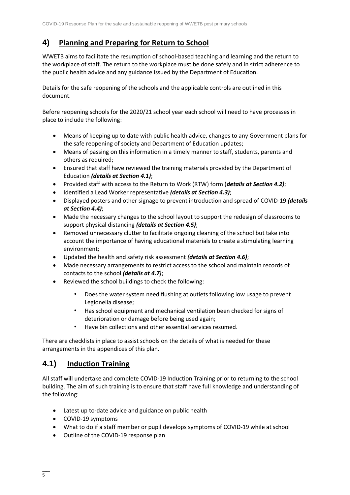# **4) Planning and Preparing for Return to School**

WWETB aims to facilitate the resumption of school-based teaching and learning and the return to the workplace of staff. The return to the workplace must be done safely and in strict adherence to the public health advice and any guidance issued by the Department of Education.

Details for the safe reopening of the schools and the applicable controls are outlined in this document.

Before reopening schools for the 2020/21 school year each school will need to have processes in place to include the following:

- Means of keeping up to date with public health advice, changes to any Government plans for the safe reopening of society and Department of Education updates;
- Means of passing on this information in a timely manner to staff, students, parents and others as required;
- Ensured that staff have reviewed the training materials provided by the Department of Education *(details at Section 4.1)*;
- Provided staff with access to the Return to Work (RTW) form (*details at Section 4.2)*;
- Identified a Lead Worker representative *(details at Section 4.3)*;
- Displayed posters and other signage to prevent introduction and spread of COVID-19 *(details at Section 4.4)*;
- Made the necessary changes to the school layout to support the redesign of classrooms to support physical distancing *(details at Section 4.5)*;
- Removed unnecessary clutter to facilitate ongoing cleaning of the school but take into account the importance of having educational materials to create a stimulating learning environment;
- Updated the health and safety risk assessment *(details at Section 4.6)*;
- Made necessary arrangements to restrict access to the school and maintain records of contacts to the school *(details at 4.7)*;
- Reviewed the school buildings to check the following:
	- Does the water system need flushing at outlets following low usage to prevent Legionella disease;
	- Has school equipment and mechanical ventilation been checked for signs of deterioration or damage before being used again;
	- Have bin collections and other essential services resumed.

There are checklists in place to assist schools on the details of what is needed for these arrangements in the appendices of this plan.

### **4.1) Induction Training**

All staff will undertake and complete COVID-19 Induction Training prior to returning to the school building. The aim of such training is to ensure that staff have full knowledge and understanding of the following:

- Latest up to-date advice and guidance on public health
- COVID-19 symptoms
- What to do if a staff member or pupil develops symptoms of COVID-19 while at school
- Outline of the COVID-19 response plan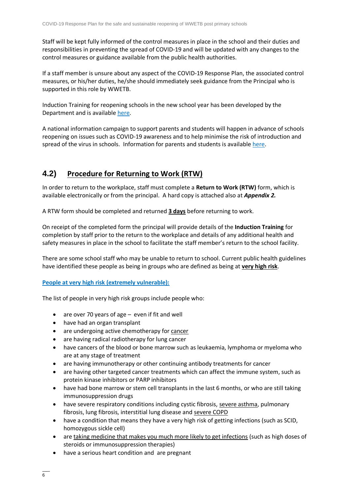Staff will be kept fully informed of the control measures in place in the school and their duties and responsibilities in preventing the spread of COVID-19 and will be updated with any changes to the control measures or guidance available from the public health authorities.

If a staff member is unsure about any aspect of the COVID-19 Response Plan, the associated control measures, or his/her duties, he/she should immediately seek guidance from the Principal who is supported in this role by WWETB.

Induction Training for reopening schools in the new school year has been developed by the Department and is availabl[e here.](https://www.gov.ie/en/publication/dd7fb-induction-training-for-reopening-schools/)

A national information campaign to support parents and students will happen in advance of schools reopening on issues such as COVID-19 awareness and to help minimise the risk of introduction and spread of the virus in schools. Information for parents and students is availabl[e here.](https://www.gov.ie/en/publication/a04fc-advice-for-students-and-their-families/)

### **4.2) Procedure for Returning to Work (RTW)**

In order to return to the workplace, staff must complete a **Return to Work (RTW)** form, which is available electronically or from the principal. A hard copy is attached also at *Appendix 2.*

A RTW form should be completed and returned **3 days** before returning to work.

On receipt of the completed form the principal will provide details of the **Induction Training** for completion by staff prior to the return to the workplace and details of any additional health and safety measures in place in the school to facilitate the staff member's return to the school facility.

There are some school staff who may be unable to return to school. Current public health guidelines have identified these people as being in groups who are defined as being at **very high risk**.

### **People at very high risk [\(extremely vulnerable\):](https://www2.hse.ie/conditions/coronavirus/people-at-higher-risk.html)**

The list of people in very high risk groups include people who:

- are over 70 years of age even if fit and well
- have had an organ transplant
- are undergoing active chemotherapy for [cancer](https://www2.hse.ie/conditions/coronavirus/cancer-patients.html)
- are having radical radiotherapy for lung cancer
- have cancers of the blood or bone marrow such as leukaemia, lymphoma or myeloma who are at any stage of treatment
- are having immunotherapy or other continuing antibody treatments for cancer
- are having other targeted cancer treatments which can affect the immune system, such as protein kinase inhibitors or PARP inhibitors
- have had bone marrow or stem cell transplants in the last 6 months, or who are still taking immunosuppression drugs
- have severe respiratory conditions including cystic fibrosis, [severe asthma,](https://www2.hse.ie/conditions/coronavirus/asthma.html) pulmonary fibrosis, lung fibrosis, interstitial lung disease and [severe COPD](https://www2.hse.ie/conditions/coronavirus/copd.html)
- have a condition that means they have a very high risk of getting infections (such as SCID, homozygous sickle cell)
- are [taking medicine that makes you much more likely to get infections](https://www2.hse.ie/conditions/coronavirus/weak-immune-system.html) (such as high doses of steroids or immunosuppression therapies)
- have a serious heart condition and are pregnant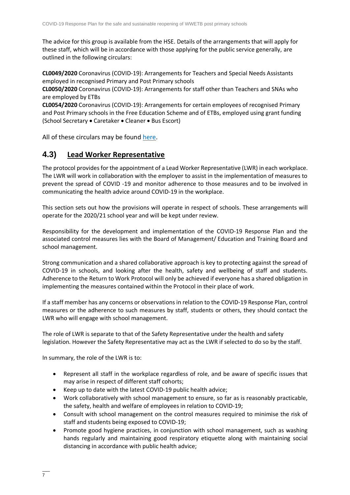The advice for this group is available from the HSE. Details of the arrangements that will apply for these staff, which will be in accordance with those applying for the public service generally, are outlined in the following circulars:

**CL0049/2020** Coronavirus (COVID-19): Arrangements for Teachers and Special Needs Assistants employed in recognised Primary and Post Primary schools

**CL0050/2020** Coronavirus (COVID-19): Arrangements for staff other than Teachers and SNAs who are employed by ETBs

**CL0054/2020** Coronavirus (COVID-19): Arrangements for certain employees of recognised Primary and Post Primary schools in the Free Education Scheme and of ETBs, employed using grant funding (School Secretary • Caretaker • Cleaner • Bus Escort)

All of these circulars may be found [here.](https://www.gov.ie/en/publication/7acad-reopening-our-post-primary-schools/#additional-guidelines-and-procedures)

### **4.3) Lead Worker Representative**

The protocol provides for the appointment of a Lead Worker Representative (LWR) in each workplace. The LWR will work in collaboration with the employer to assist in the implementation of measures to prevent the spread of COVID -19 and monitor adherence to those measures and to be involved in communicating the health advice around COVID-19 in the workplace.

This section sets out how the provisions will operate in respect of schools. These arrangements will operate for the 2020/21 school year and will be kept under review.

Responsibility for the development and implementation of the COVID-19 Response Plan and the associated control measures lies with the Board of Management/ Education and Training Board and school management.

Strong communication and a shared collaborative approach is key to protecting against the spread of COVID-19 in schools, and looking after the health, safety and wellbeing of staff and students. Adherence to the Return to Work Protocol will only be achieved if everyone has a shared obligation in implementing the measures contained within the Protocol in their place of work.

If a staff member has any concerns or observations in relation to the COVID-19 Response Plan, control measures or the adherence to such measures by staff, students or others, they should contact the LWR who will engage with school management.

The role of LWR is separate to that of the Safety Representative under the health and safety legislation. However the Safety Representative may act as the LWR if selected to do so by the staff.

In summary, the role of the LWR is to:

- Represent all staff in the workplace regardless of role, and be aware of specific issues that may arise in respect of different staff cohorts;
- Keep up to date with the latest COVID-19 public health advice;
- Work collaboratively with school management to ensure, so far as is reasonably practicable, the safety, health and welfare of employees in relation to COVID-19;
- Consult with school management on the control measures required to minimise the risk of staff and students being exposed to COVID-19;
- Promote good hygiene practices, in conjunction with school management, such as washing hands regularly and maintaining good respiratory etiquette along with maintaining social distancing in accordance with public health advice;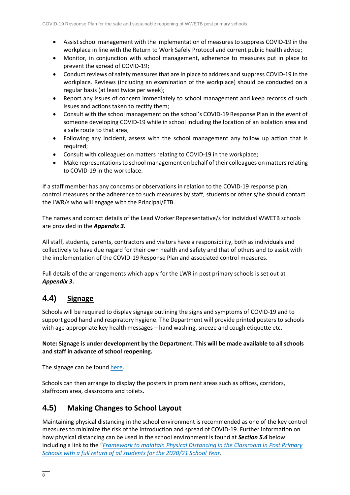- Assist school management with the implementation of measures to suppress COVID-19 in the workplace in line with the Return to Work Safely Protocol and current public health advice;
- Monitor, in conjunction with school management, adherence to measures put in place to prevent the spread of COVID-19;
- Conduct reviews of safety measures that are in place to address and suppress COVID-19 in the workplace. Reviews (including an examination of the workplace) should be conducted on a regular basis (at least twice per week);
- Report any issues of concern immediately to school management and keep records of such issues and actions taken to rectify them;
- Consult with the school management on the school's COVID-19 Response Plan in the event of someone developing COVID-19 while in school including the location of an isolation area and a safe route to that area;
- Following any incident, assess with the school management any follow up action that is required;
- Consult with colleagues on matters relating to COVID-19 in the workplace;
- Make representations to school management on behalf of their colleagues on matters relating to COVID-19 in the workplace.

If a staff member has any concerns or observations in relation to the COVID-19 response plan, control measures or the adherence to such measures by staff, students or other s/he should contact the LWR/s who will engage with the Principal/ETB.

The names and contact details of the Lead Worker Representative/s for individual WWETB schools are provided in the *Appendix 3.*

All staff, students, parents, contractors and visitors have a responsibility, both as individuals and collectively to have due regard for their own health and safety and that of others and to assist with the implementation of the COVID-19 Response Plan and associated control measures.

Full details of the arrangements which apply for the LWR in post primary schools is set out at *Appendix 3***.**

# **4.4) Signage**

Schools will be required to display signage outlining the signs and symptoms of COVID-19 and to support good hand and respiratory hygiene. The Department will provide printed posters to schools with age appropriate key health messages – hand washing, sneeze and cough etiquette etc.

### **Note: Signage is under development by the Department. This will be made available to all schools and staff in advance of school reopening.**

The signage can be found [here.](https://www.gov.ie/en/publication/2da43-signage-for-reopening-of-schools/)

Schools can then arrange to display the posters in prominent areas such as offices, corridors, staffroom area, classrooms and toilets.

### **4.5) Making Changes to School Layout**

Maintaining physical distancing in the school environment is recommended as one of the key control measures to minimize the risk of the introduction and spread of COVID-19. Further information on how physical distancing can be used in the school environment is found at *Section 5.4* below including a link to the "*[Framework to maintain Physical Distancing in the Classroom in Post Primary](https://assets.gov.ie/83472/ca0e3029-2d43-4e77-8181-bc3dc89455d2.pdf)  Schools [with a full return of all students for the 2020/21 School Year.](https://assets.gov.ie/83472/ca0e3029-2d43-4e77-8181-bc3dc89455d2.pdf)*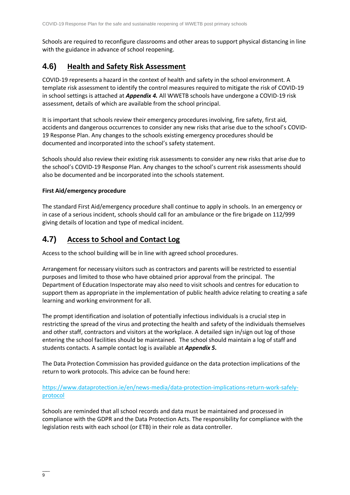Schools are required to reconfigure classrooms and other areas to support physical distancing in line with the guidance in advance of school reopening.

### **4.6) Health and Safety Risk Assessment**

COVID-19 represents a hazard in the context of health and safety in the school environment. A template risk assessment to identify the control measures required to mitigate the risk of COVID-19 in school settings is attached at *Appendix 4.* All WWETB schools have undergone a COVID-19 risk assessment, details of which are available from the school principal.

It is important that schools review their emergency procedures involving, fire safety, first aid, accidents and dangerous occurrences to consider any new risks that arise due to the school's COVID-19 Response Plan. Any changes to the schools existing emergency procedures should be documented and incorporated into the school's safety statement.

Schools should also review their existing risk assessments to consider any new risks that arise due to the school's COVID-19 Response Plan. Any changes to the school's current risk assessments should also be documented and be incorporated into the schools statement.

### **First Aid/emergency procedure**

The standard First Aid/emergency procedure shall continue to apply in schools. In an emergency or in case of a serious incident, schools should call for an ambulance or the fire brigade on 112/999 giving details of location and type of medical incident.

### **4.7) Access to School and Contact Log**

Access to the school building will be in line with agreed school procedures.

Arrangement for necessary visitors such as contractors and parents will be restricted to essential purposes and limited to those who have obtained prior approval from the principal. The Department of Education Inspectorate may also need to visit schools and centres for education to support them as appropriate in the implementation of public health advice relating to creating a safe learning and working environment for all.

The prompt identification and isolation of potentially infectious individuals is a crucial step in restricting the spread of the virus and protecting the health and safety of the individuals themselves and other staff, contractors and visitors at the workplace. A detailed sign in/sign out log of those entering the school facilities should be maintained. The school should maintain a log of staff and students contacts. A sample contact log is available at *Appendix 5***.** 

The Data Protection Commission has provided guidance on the data protection implications of the return to work protocols. This advice can be found here:

[https://www.dataprotection.ie/en/news-media/data-protection-implications-return-work-safely](https://www.dataprotection.ie/en/news-media/data-protection-implications-return-work-safely-protocol)[protocol](https://www.dataprotection.ie/en/news-media/data-protection-implications-return-work-safely-protocol)

Schools are reminded that all school records and data must be maintained and processed in compliance with the GDPR and the Data Protection Acts. The responsibility for compliance with the legislation rests with each school (or ETB) in their role as data controller.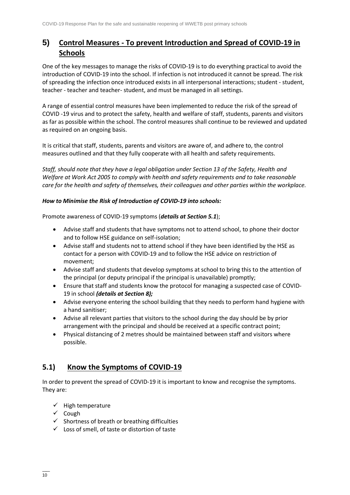# **5) Control Measures - To prevent Introduction and Spread of COVID-19 in Schools**

One of the key messages to manage the risks of COVID-19 is to do everything practical to avoid the introduction of COVID-19 into the school. If infection is not introduced it cannot be spread. The risk of spreading the infection once introduced exists in all interpersonal interactions; student - student, teacher - teacher and teacher- student, and must be managed in all settings.

A range of essential control measures have been implemented to reduce the risk of the spread of COVID -19 virus and to protect the safety, health and welfare of staff, students, parents and visitors as far as possible within the school. The control measures shall continue to be reviewed and updated as required on an ongoing basis.

It is critical that staff, students, parents and visitors are aware of, and adhere to, the control measures outlined and that they fully cooperate with all health and safety requirements.

*Staff, should note that they have a legal obligation under Section 13 of the Safety, Health and Welfare at Work Act 2005 to comply with health and safety requirements and to take reasonable care for the health and safety of themselves, their colleagues and other parties within the workplace.* 

### *How to Minimise the Risk of Introduction of COVID-19 into schools:*

Promote awareness of COVID-19 symptoms (*details at Section 5.1*);

- Advise staff and students that have symptoms not to attend school, to phone their doctor and to follow HSE guidance on self-isolation;
- Advise staff and students not to attend school if they have been identified by the HSE as contact for a person with COVID-19 and to follow the HSE advice on restriction of movement;
- Advise staff and students that develop symptoms at school to bring this to the attention of the principal (or deputy principal if the principal is unavailable) promptly;
- Ensure that staff and students know the protocol for managing a suspected case of COVID-19 in school *(details at Section 8);*
- Advise everyone entering the school building that they needs to perform hand hygiene with a hand sanitiser;
- Advise all relevant parties that visitors to the school during the day should be by prior arrangement with the principal and should be received at a specific contract point;
- Physical distancing of 2 metres should be maintained between staff and visitors where possible.

### **5.1) Know the Symptoms of COVID-19**

In order to prevent the spread of COVID-19 it is important to know and recognise the symptoms. They are:

- ✓ High temperature
- ✓ Cough
- $\checkmark$  Shortness of breath or breathing difficulties
- $\checkmark$  Loss of smell, of taste or distortion of taste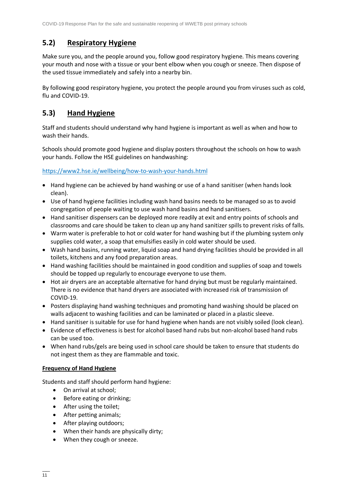### **5.2) Respiratory Hygiene**

Make sure you, and the people around you, follow good respiratory hygiene. This means covering your mouth and nose with a tissue or your bent elbow when you cough or sneeze. Then dispose of the used tissue immediately and safely into a nearby bin.

By following good respiratory hygiene, you protect the people around you from viruses such as cold, flu and COVID-19.

### **5.3) Hand Hygiene**

Staff and students should understand why hand hygiene is important as well as when and how to wash their hands.

Schools should promote good hygiene and display posters throughout the schools on how to wash your hands. Follow the HSE guidelines on handwashing:

<https://www2.hse.ie/wellbeing/how-to-wash-your-hands.html>

- Hand hygiene can be achieved by hand washing or use of a hand sanitiser (when hands look clean).
- Use of hand hygiene facilities including wash hand basins needs to be managed so as to avoid congregation of people waiting to use wash hand basins and hand sanitisers.
- Hand sanitiser dispensers can be deployed more readily at exit and entry points of schools and classrooms and care should be taken to clean up any hand sanitizer spills to prevent risks of falls.
- Warm water is preferable to hot or cold water for hand washing but if the plumbing system only supplies cold water, a soap that emulsifies easily in cold water should be used.
- Wash hand basins, running water, liquid soap and hand drying facilities should be provided in all toilets, kitchens and any food preparation areas.
- Hand washing facilities should be maintained in good condition and supplies of soap and towels should be topped up regularly to encourage everyone to use them.
- Hot air dryers are an acceptable alternative for hand drying but must be regularly maintained. There is no evidence that hand dryers are associated with increased risk of transmission of COVID-19.
- Posters displaying hand washing techniques and promoting hand washing should be placed on walls adjacent to washing facilities and can be laminated or placed in a plastic sleeve.
- Hand sanitiser is suitable for use for hand hygiene when hands are not visibly soiled (look clean).
- Evidence of effectiveness is best for alcohol based hand rubs but non-alcohol based hand rubs can be used too.
- When hand rubs/gels are being used in school care should be taken to ensure that students do not ingest them as they are flammable and toxic.

### **Frequency of Hand Hygiene**

Students and staff should perform hand hygiene:

- On arrival at school;
- Before eating or drinking;
- After using the toilet;
- After petting animals;
- After playing outdoors;
- When their hands are physically dirty;
- When they cough or sneeze.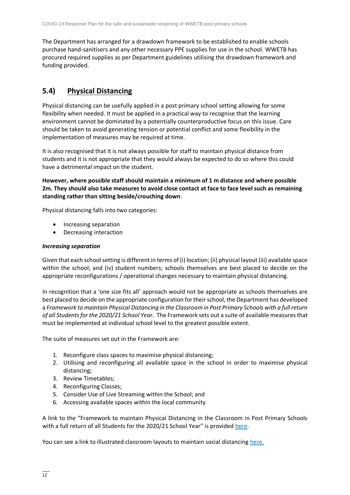The Department has arranged for a drawdown framework to be established to enable schools purchase hand-sanitisers and any other necessary PPE supplies for use in the school. WWETB has procured required supplies as per Department guidelines utilising the drawdown framework and funding provided.

### **5.4) Physical Distancing**

Physical distancing can be usefully applied in a post primary school setting allowing for some flexibility when needed. It must be applied in a practical way to recognise that the learning environment cannot be dominated by a potentially counterproductive focus on this issue. Care should be taken to avoid generating tension or potential conflict and some flexibility in the implementation of measures may be required at time.

It is also recognised that it is not always possible for staff to maintain physical distance from students and it is not appropriate that they would always be expected to do so where this could have a detrimental impact on the student.

**However, where possible staff should maintain a minimum of 1 m distance and where possible 2m. They should also take measures to avoid close contact at face to face level such as remaining standing rather than sitting beside/crouching down**.

Physical distancing falls into two categories:

- Increasing separation
- Decreasing interaction

#### *Increasing separation*

Given that each school setting is different in terms of (i) location; (ii) physical layout (iii) available space within the school; and (iv) student numbers; schools themselves are best placed to decide on the appropriate reconfigurations / operational changes necessary to maintain physical distancing.

In recognition that a 'one size fits all' approach would not be appropriate as schools themselves are best placed to decide on the appropriate configuration for their school, the Department has developed a *Framework to maintain Physical Distancing in the Classroom in Post Primary Schools with a full return of all Students for the 2020/21 School Year.* The Framework sets out a suite of available measures that must be implemented at individual school level to the greatest possible extent.

The suite of measures set out in the Framework are:

- 1. Reconfigure class spaces to maximise physical distancing;
- 2. Utilising and reconfiguring all available space in the school in order to maximise physical distancing;
- 3. Review Timetables;
- 4. Reconfiguring Classes;
- 5. Consider Use of Live Streaming within the School; and
- 6. Accessing available spaces within the local community

A link to the "Framework to maintain Physical Distancing in the Classroom in Post Primary Schools with a full return of all Students for the 2020/21 School Year" is provided [here.](https://assets.gov.ie/83472/ca0e3029-2d43-4e77-8181-bc3dc89455d2.pdf)

You can see a link to illustrated classroom layouts to maintain social distancing [here.](https://s3-eu-west-1.amazonaws.com/govieassets/81947/e89b3523-78ee-45cb-ae14-c13d143b889b.pdf)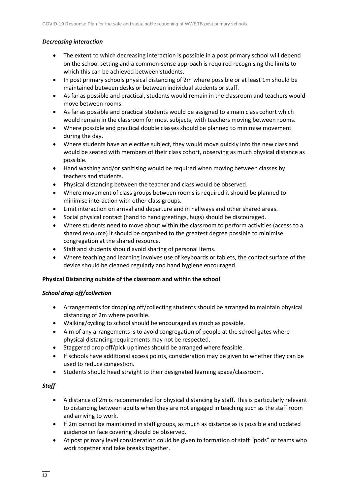### *Decreasing interaction*

- The extent to which decreasing interaction is possible in a post primary school will depend on the school setting and a common-sense approach is required recognising the limits to which this can be achieved between students.
- In post primary schools physical distancing of 2m where possible or at least 1m should be maintained between desks or between individual students or staff.
- As far as possible and practical, students would remain in the classroom and teachers would move between rooms.
- As far as possible and practical students would be assigned to a main class cohort which would remain in the classroom for most subjects, with teachers moving between rooms.
- Where possible and practical double classes should be planned to minimise movement during the day.
- Where students have an elective subject, they would move quickly into the new class and would be seated with members of their class cohort, observing as much physical distance as possible.
- Hand washing and/or sanitising would be required when moving between classes by teachers and students.
- Physical distancing between the teacher and class would be observed.
- Where movement of class groups between rooms is required it should be planned to minimise interaction with other class groups.
- Limit interaction on arrival and departure and in hallways and other shared areas.
- Social physical contact (hand to hand greetings, hugs) should be discouraged.
- Where students need to move about within the classroom to perform activities (access to a shared resource) it should be organized to the greatest degree possible to minimise congregation at the shared resource.
- Staff and students should avoid sharing of personal items.
- Where teaching and learning involves use of keyboards or tablets, the contact surface of the device should be cleaned regularly and hand hygiene encouraged.

#### **Physical Distancing outside of the classroom and within the school**

#### *School drop off/collection*

- Arrangements for dropping off/collecting students should be arranged to maintain physical distancing of 2m where possible.
- Walking/cycling to school should be encouraged as much as possible.
- Aim of any arrangements is to avoid congregation of people at the school gates where physical distancing requirements may not be respected.
- Staggered drop off/pick up times should be arranged where feasible.
- If schools have additional access points, consideration may be given to whether they can be used to reduce congestion.
- Students should head straight to their designated learning space/classroom.

#### *Staff*

- A distance of 2m is recommended for physical distancing by staff. This is particularly relevant to distancing between adults when they are not engaged in teaching such as the staff room and arriving to work.
- If 2m cannot be maintained in staff groups, as much as distance as is possible and updated guidance on face covering should be observed.
- At post primary level consideration could be given to formation of staff "pods" or teams who work together and take breaks together.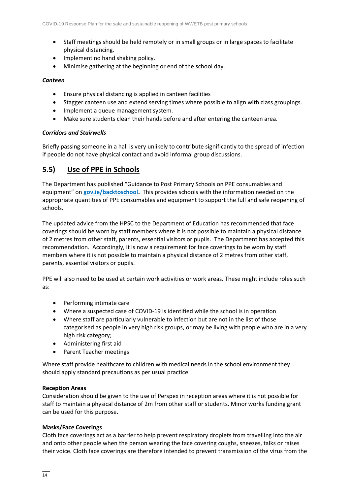- Staff meetings should be held remotely or in small groups or in large spaces to facilitate physical distancing.
- Implement no hand shaking policy.
- Minimise gathering at the beginning or end of the school day.

#### *Canteen*

- Ensure physical distancing is applied in canteen facilities
- Stagger canteen use and extend serving times where possible to align with class groupings.
- Implement a queue management system.
- Make sure students clean their hands before and after entering the canteen area.

### *Corridors and Stairwells*

Briefly passing someone in a hall is very unlikely to contribute significantly to the spread of infection if people do not have physical contact and avoid informal group discussions.

### **5.5) Use of PPE in Schools**

The Department has published "Guidance to Post Primary Schools on PPE consumables and equipment" on **[gov.ie/backtoschool.](http://www.gov.ie/backtoschool)** This provides schools with the information needed on the appropriate quantities of PPE consumables and equipment to support the full and safe reopening of schools.

The updated advice from the HPSC to the Department of Education has recommended that face coverings should be worn by staff members where it is not possible to maintain a physical distance of 2 metres from other staff, parents, essential visitors or pupils. The Department has accepted this recommendation. Accordingly, it is now a requirement for face coverings to be worn by staff members where it is not possible to maintain a physical distance of 2 metres from other staff, parents, essential visitors or pupils.

PPE will also need to be used at certain work activities or work areas. These might include roles such as:

- Performing intimate care
- Where a suspected case of COVID-19 is identified while the school is in operation
- Where staff are particularly vulnerable to infection but are not in the list of those categorised as people in very high risk groups, or may be living with people who are in a very high risk category;
- Administering first aid
- Parent Teacher meetings

Where staff provide healthcare to children with medical needs in the school environment they should apply standard precautions as per usual practice.

#### **Reception Areas**

Consideration should be given to the use of Perspex in reception areas where it is not possible for staff to maintain a physical distance of 2m from other staff or students. Minor works funding grant can be used for this purpose.

#### **Masks/Face Coverings**

Cloth face coverings act as a barrier to help prevent respiratory droplets from travelling into the air and onto other people when the person wearing the face covering coughs, sneezes, talks or raises their voice. Cloth face coverings are therefore intended to prevent transmission of the virus from the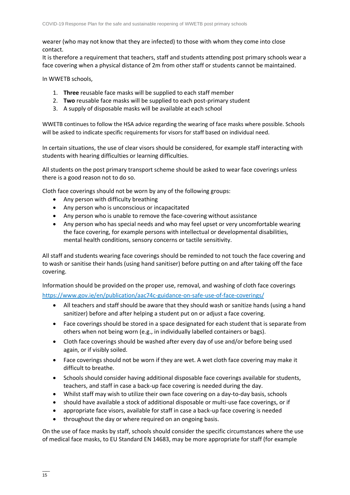wearer (who may not know that they are infected) to those with whom they come into close contact.

It is therefore a requirement that teachers, staff and students attending post primary schools wear a face covering when a physical distance of 2m from other staff or students cannot be maintained.

In WWETB schools,

- 1. **Three** reusable face masks will be supplied to each staff member
- 2. **Two** reusable face masks will be supplied to each post-primary student
- 3. A supply of disposable masks will be available at each school

WWETB continues to follow the HSA advice regarding the wearing of face masks where possible. Schools will be asked to indicate specific requirements for visors for staff based on individual need.

In certain situations, the use of clear visors should be considered, for example staff interacting with students with hearing difficulties or learning difficulties.

All students on the post primary transport scheme should be asked to wear face coverings unless there is a good reason not to do so.

Cloth face coverings should not be worn by any of the following groups:

- Any person with difficulty breathing
- Any person who is unconscious or incapacitated
- Any person who is unable to remove the face-covering without assistance
- Any person who has special needs and who may feel upset or very uncomfortable wearing the face covering, for example persons with intellectual or developmental disabilities, mental health conditions, sensory concerns or tactile sensitivity.

All staff and students wearing face coverings should be reminded to not touch the face covering and to wash or sanitise their hands (using hand sanitiser) before putting on and after taking off the face covering.

Information should be provided on the proper use, removal, and washing of cloth face coverings <https://www.gov.ie/en/publication/aac74c-guidance-on-safe-use-of-face-coverings/>

- All teachers and staff should be aware that they should wash or sanitize hands (using a hand sanitizer) before and after helping a student put on or adjust a face covering.
- Face coverings should be stored in a space designated for each student that is separate from others when not being worn (e.g., in individually labelled containers or bags).
- Cloth face coverings should be washed after every day of use and/or before being used again, or if visibly soiled.
- Face coverings should not be worn if they are wet. A wet cloth face covering may make it difficult to breathe.
- Schools should consider having additional disposable face coverings available for students, teachers, and staff in case a back-up face covering is needed during the day.
- Whilst staff may wish to utilize their own face covering on a day-to-day basis, schools
- should have available a stock of additional disposable or multi-use face coverings, or if
- appropriate face visors, available for staff in case a back-up face covering is needed
- throughout the day or where required on an ongoing basis.

On the use of face masks by staff, schools should consider the specific circumstances where the use of medical face masks, to EU Standard EN 14683, may be more appropriate for staff (for example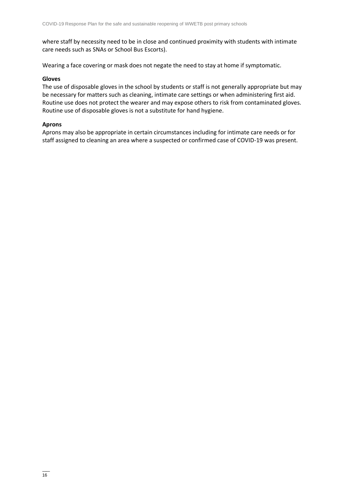where staff by necessity need to be in close and continued proximity with students with intimate care needs such as SNAs or School Bus Escorts).

Wearing a face covering or mask does not negate the need to stay at home if symptomatic.

#### **Gloves**

The use of disposable gloves in the school by students or staff is not generally appropriate but may be necessary for matters such as cleaning, intimate care settings or when administering first aid. Routine use does not protect the wearer and may expose others to risk from contaminated gloves. Routine use of disposable gloves is not a substitute for hand hygiene.

#### **Aprons**

Aprons may also be appropriate in certain circumstances including for intimate care needs or for staff assigned to cleaning an area where a suspected or confirmed case of COVID-19 was present.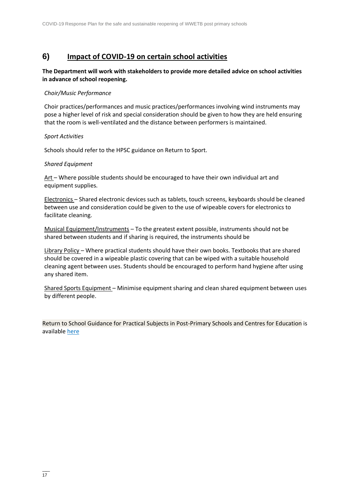### **6) Impact of COVID-19 on certain school activities**

### **The Department will work with stakeholders to provide more detailed advice on school activities in advance of school reopening.**

#### *Choir/Music Performance*

Choir practices/performances and music practices/performances involving wind instruments may pose a higher level of risk and special consideration should be given to how they are held ensuring that the room is well-ventilated and the distance between performers is maintained.

#### *Sport Activities*

Schools should refer to the HPSC guidance on Return to Sport.

#### *Shared Equipment*

Art – Where possible students should be encouraged to have their own individual art and equipment supplies.

Electronics – Shared electronic devices such as tablets, touch screens, keyboards should be cleaned between use and consideration could be given to the use of wipeable covers for electronics to facilitate cleaning.

Musical Equipment/Instruments – To the greatest extent possible, instruments should not be shared between students and if sharing is required, the instruments should be

Library Policy – Where practical students should have their own books. Textbooks that are shared should be covered in a wipeable plastic covering that can be wiped with a suitable household cleaning agent between uses. Students should be encouraged to perform hand hygiene after using any shared item.

Shared Sports Equipment – Minimise equipment sharing and clean shared equipment between uses by different people.

Return to School Guidance for Practical Subjects in Post-Primary Schools and Centres for Education is available [here](https://www.gov.ie/en/publication/7acad-reopening-our-post-primary-schools/#additional-guidelines-and-procedures)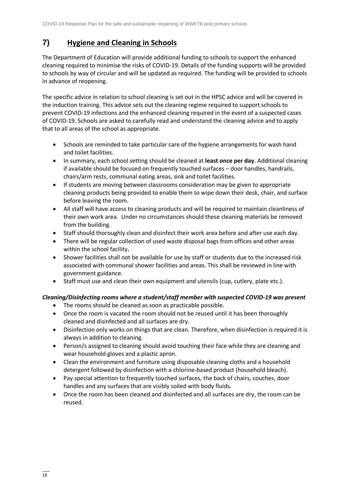# **7) Hygiene and Cleaning in Schools**

The Department of Education will provide additional funding to schools to support the enhanced cleaning required to minimise the risks of COVID-19. Details of the funding supports will be provided to schools by way of circular and will be updated as required. The funding will be provided to schools in advance of reopening.

The specific advice in relation to school cleaning is set out in the HPSC advice and will be covered in the induction training. This advice sets out the cleaning regime required to support schools to prevent COVID-19 infections and the enhanced cleaning required in the event of a suspected cases of COVID-19. Schools are asked to carefully read and understand the cleaning advice and to apply that to all areas of the school as appropriate.

- Schools are reminded to take particular care of the hygiene arrangements for wash hand and toilet facilities.
- In summary, each school setting should be cleaned at **least once per day**. Additional cleaning if available should be focused on frequently touched surfaces – door handles, handrails, chairs/arm rests, communal eating areas, sink and toilet facilities.
- If students are moving between classrooms consideration may be given to appropriate cleaning products being provided to enable them to wipe down their desk, chair, and surface before leaving the room.
- All staff will have access to cleaning products and will be required to maintain cleanliness of their own work area. Under no circumstances should these cleaning materials be removed from the building.
- Staff should thoroughly clean and disinfect their work area before and after use each day.
- There will be regular collection of used waste disposal bags from offices and other areas within the school facility**.**
- Shower facilities shall not be available for use by staff or students due to the increased risk associated with communal shower facilities and areas. This shall be reviewed in line with government guidance.
- Staff must use and clean their own equipment and utensils (cup, cutlery, plate etc.).

### *Cleaning/Disinfecting rooms where a student/staff member with suspected COVID-19 was present*

- The rooms should be cleaned as soon as practicable possible.
- Once the room is vacated the room should not be reused until it has been thoroughly cleaned and disinfected and all surfaces are dry.
- Disinfection only works on things that are clean. Therefore, when disinfection is required it is always in addition to cleaning.
- Person/s assigned to cleaning should avoid touching their face while they are cleaning and wear household gloves and a plastic apron.
- Clean the environment and furniture using disposable cleaning cloths and a household detergent followed by disinfection with a chlorine-based product (household bleach).
- Pay special attention to frequently touched surfaces, the back of chairs, couches, door handles and any surfaces that are visibly soiled with body fluids.
- Once the room has been cleaned and disinfected and all surfaces are dry, the room can be reused.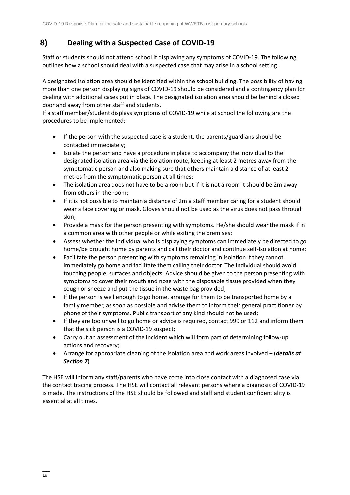# **8) Dealing with a Suspected Case of COVID-19**

Staff or students should not attend school if displaying any symptoms of COVID-19. The following outlines how a school should deal with a suspected case that may arise in a school setting.

A designated isolation area should be identified within the school building. The possibility of having more than one person displaying signs of COVID-19 should be considered and a contingency plan for dealing with additional cases put in place. The designated isolation area should be behind a closed door and away from other staff and students.

If a staff member/student displays symptoms of COVID-19 while at school the following are the procedures to be implemented:

- If the person with the suspected case is a student, the parents/guardians should be contacted immediately;
- Isolate the person and have a procedure in place to accompany the individual to the designated isolation area via the isolation route, keeping at least 2 metres away from the symptomatic person and also making sure that others maintain a distance of at least 2 metres from the symptomatic person at all times;
- The isolation area does not have to be a room but if it is not a room it should be 2m away from others in the room;
- If it is not possible to maintain a distance of 2m a staff member caring for a student should wear a face covering or mask. Gloves should not be used as the virus does not pass through skin;
- Provide a mask for the person presenting with symptoms. He/she should wear the mask if in a common area with other people or while exiting the premises;
- Assess whether the individual who is displaying symptoms can immediately be directed to go home/be brought home by parents and call their doctor and continue self-isolation at home;
- Facilitate the person presenting with symptoms remaining in isolation if they cannot immediately go home and facilitate them calling their doctor. The individual should avoid touching people, surfaces and objects. Advice should be given to the person presenting with symptoms to cover their mouth and nose with the disposable tissue provided when they cough or sneeze and put the tissue in the waste bag provided;
- If the person is well enough to go home, arrange for them to be transported home by a family member, as soon as possible and advise them to inform their general practitioner by phone of their symptoms. Public transport of any kind should not be used;
- If they are too unwell to go home or advice is required, contact 999 or 112 and inform them that the sick person is a COVID-19 suspect;
- Carry out an assessment of the incident which will form part of determining follow-up actions and recovery;
- Arrange for appropriate cleaning of the isolation area and work areas involved (*details at Section 7*)

The HSE will inform any staff/parents who have come into close contact with a diagnosed case via the contact tracing process. The HSE will contact all relevant persons where a diagnosis of COVID-19 is made. The instructions of the HSE should be followed and staff and student confidentiality is essential at all times.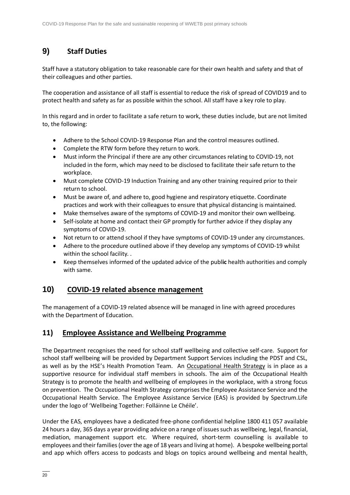# **9) Staff Duties**

Staff have a statutory obligation to take reasonable care for their own health and safety and that of their colleagues and other parties.

The cooperation and assistance of all staff is essential to reduce the risk of spread of COVID19 and to protect health and safety as far as possible within the school. All staff have a key role to play.

In this regard and in order to facilitate a safe return to work, these duties include, but are not limited to, the following:

- Adhere to the School COVID-19 Response Plan and the control measures outlined.
- Complete the RTW form before they return to work.
- Must inform the Principal if there are any other circumstances relating to COVID-19, not included in the form, which may need to be disclosed to facilitate their safe return to the workplace.
- Must complete COVID-19 Induction Training and any other training required prior to their return to school.
- Must be aware of, and adhere to, good hygiene and respiratory etiquette. Coordinate practices and work with their colleagues to ensure that physical distancing is maintained.
- Make themselves aware of the symptoms of COVID-19 and monitor their own wellbeing.
- Self-isolate at home and contact their GP promptly for further advice if they display any symptoms of COVID-19.
- Not return to or attend school if they have symptoms of COVID-19 under any circumstances.
- Adhere to the procedure outlined above if they develop any symptoms of COVID-19 whilst within the school facility. .
- Keep themselves informed of the updated advice of the publ**ic** health authorities and comply with same.

### **10) COVID-19 related absence management**

The management of a COVID-19 related absence will be managed in line with agreed procedures with the Department of Education.

### **11) Employee Assistance and Wellbeing Programme**

The Department recognises the need for school staff wellbeing and collective self-care. Support for school staff wellbeing will be provided by Department Support Services including the PDST and CSL, as well as by the HSE's Health Promotion Team. An [Occupational Health Strategy](https://www.education.ie/en/Education-Staff/Information/Occupational-Health-Strategy/) is in place as a supportive resource for individual staff members in schools. The aim of the Occupational Health Strategy is to promote the health and wellbeing of employees in the workplace, with a strong focus on prevention. The Occupational Health Strategy comprises the Employee Assistance Service and the Occupational Health Service. The Employee Assistance Service (EAS) is provided by Spectrum.Life under the logo of 'Wellbeing Together: Folláinne Le Chéile'.

Under the EAS, employees have a dedicated free-phone confidential helpline 1800 411 057 available 24 hours a day, 365 days a year providing advice on a range of issues such as wellbeing, legal, financial, mediation, management support etc. Where required, short-term counselling is available to employees and their families (over the age of 18 years and living at home). A bespoke wellbeing portal and app which offers access to podcasts and blogs on topics around wellbeing and mental health,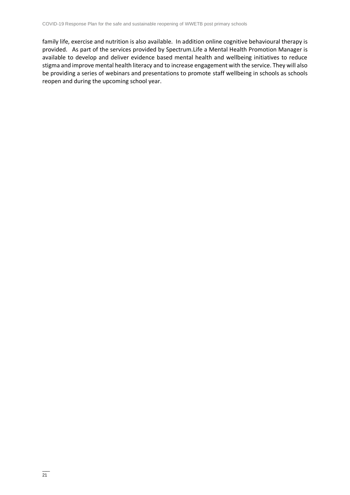family life, exercise and nutrition is also available. In addition online cognitive behavioural therapy is provided. As part of the services provided by Spectrum.Life a Mental Health Promotion Manager is available to develop and deliver evidence based mental health and wellbeing initiatives to reduce stigma and improve mental health literacy and to increase engagement with the service. They will also be providing a series of webinars and presentations to promote staff wellbeing in schools as schools reopen and during the upcoming school year.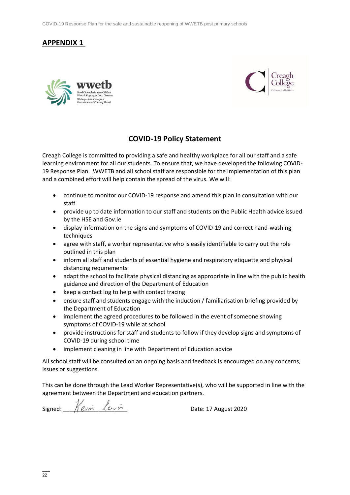COVID-19 Response Plan for the safe and sustainable reopening of WWETB post primary schools

### **APPENDIX 1**





### **COVID-19 Policy Statement**

Creagh College is committed to providing a safe and healthy workplace for all our staff and a safe learning environment for all our students. To ensure that, we have developed the following COVID-19 Response Plan. WWETB and all school staff are responsible for the implementation of this plan and a combined effort will help contain the spread of the virus. We will:

- continue to monitor our COVID-19 response and amend this plan in consultation with our staff
- provide up to date information to our staff and students on the Public Health advice issued by the HSE and Gov.ie
- display information on the signs and symptoms of COVID-19 and correct hand-washing techniques
- agree with staff, a worker representative who is easily identifiable to carry out the role outlined in this plan
- inform all staff and students of essential hygiene and respiratory etiquette and physical distancing requirements
- adapt the school to facilitate physical distancing as appropriate in line with the public health guidance and direction of the Department of Education
- keep a contact log to help with contact tracing
- ensure staff and students engage with the induction / familiarisation briefing provided by the Department of Education
- implement the agreed procedures to be followed in the event of someone showing symptoms of COVID-19 while at school
- provide instructions for staff and students to follow if they develop signs and symptoms of COVID-19 during school time
- implement cleaning in line with Department of Education advice

All school staff will be consulted on an ongoing basis and feedback is encouraged on any concerns, issues or suggestions.

This can be done through the Lead Worker Representative(s), who will be supported in line with the agreement between the Department and education partners.

Signed:  $\bigwedge^{\prime} e_{\mathcal{N}}$   $\vdots$   $\bigwedge^{\prime} e_{\mathcal{N}}$   $\vdots$   $\bigwedge^{\prime} e_{\mathcal{N}}$   $\vdots$   $\bigwedge^{\prime} e_{\mathcal{N}}$   $\vdots$   $\bigwedge^{\prime} e_{\mathcal{N}}$   $\vdots$   $\bigwedge^{\prime} e_{\mathcal{N}}$   $\vdots$   $\bigwedge^{\prime} e_{\mathcal{N}}$   $\vdots$   $\bigwedge^{\prime} e_{\mathcal{N}}$   $\vdots$   $\bigwedge^{\prime} e_{\math$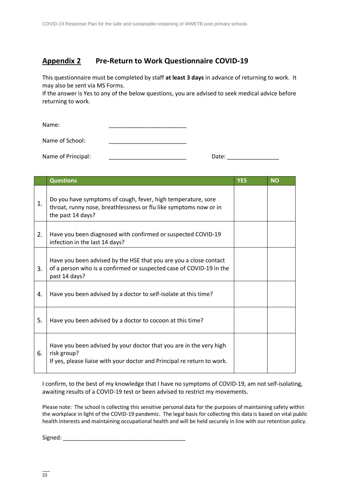### **Appendix 2 Pre-Return to Work Questionnaire COVID-19**

This questionnaire must be completed by staff **at least 3 days** in advance of returning to work. It may also be sent via MS Forms.

If the answer is Yes to any of the below questions, you are advised to seek medical advice before returning to work.

Name:

Name of School: **We also contain the School:** 

Name of Principal: \_\_\_\_\_\_\_\_\_\_\_\_\_\_\_\_\_\_\_\_\_\_\_\_ Date: \_\_\_\_\_\_\_\_\_\_\_\_\_\_\_\_

|    | <b>Questions</b>                                                                                                                                             | <b>YES</b> | <b>NO</b> |
|----|--------------------------------------------------------------------------------------------------------------------------------------------------------------|------------|-----------|
| 1. | Do you have symptoms of cough, fever, high temperature, sore<br>throat, runny nose, breathlessness or flu like symptoms now or in<br>the past 14 days?       |            |           |
| 2. | Have you been diagnosed with confirmed or suspected COVID-19<br>infection in the last 14 days?                                                               |            |           |
| 3. | Have you been advised by the HSE that you are you a close contact<br>of a person who is a confirmed or suspected case of COVID-19 in the<br>past 14 days?    |            |           |
| 4. | Have you been advised by a doctor to self-isolate at this time?                                                                                              |            |           |
| 5. | Have you been advised by a doctor to cocoon at this time?                                                                                                    |            |           |
| 6. | Have you been advised by your doctor that you are in the very high<br>risk group?<br>If yes, please liaise with your doctor and Principal re return to work. |            |           |

I confirm, to the best of my knowledge that I have no symptoms of COVID-19, am not self-isolating, awaiting results of a COVID-19 test or been advised to restrict my movements.

Please note: The school is collecting this sensitive personal data for the purposes of maintaining safety within the workplace in light of the COVID-19 pandemic. The legal basis for collecting this data is based on vital public health interests and maintaining occupational health and will be held securely in line with our retention policy.

Signed: \_\_\_\_\_\_\_\_\_\_\_\_\_\_\_\_\_\_\_\_\_\_\_\_\_\_\_\_\_\_\_\_\_\_\_\_\_\_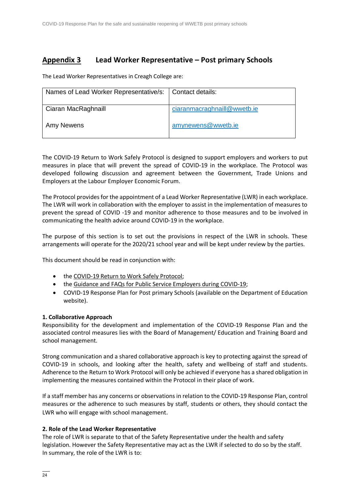### **Appendix 3 Lead Worker Representative – Post primary Schools**

The Lead Worker Representatives in Creagh College are:

| Names of Lead Worker Representative/s:   Contact details: |                             |
|-----------------------------------------------------------|-----------------------------|
| Ciaran MacRaghnaill                                       | ciaranmacraghnaill@wwetb.ie |
| Amy Newens                                                | amynewens@wwetb.ie          |

The COVID-19 Return to Work Safely Protocol is designed to support employers and workers to put measures in place that will prevent the spread of COVID-19 in the workplace. The Protocol was developed following discussion and agreement between the Government, Trade Unions and Employers at the Labour Employer Economic Forum.

The Protocol provides for the appointment of a Lead Worker Representative (LWR) in each workplace. The LWR will work in collaboration with the employer to assist in the implementation of measures to prevent the spread of COVID -19 and monitor adherence to those measures and to be involved in communicating the health advice around COVID-19 in the workplace.

The purpose of this section is to set out the provisions in respect of the LWR in schools. These arrangements will operate for the 2020/21 school year and will be kept under review by the parties.

This document should be read in conjunction with:

- the COVID-19 [Return to Work Safely Protocol;](https://www.gov.ie/en/publication/22829a-return-to-work-safely-protocol/)
- the [Guidance and FAQs for Public Service Employers during COVID-19;](https://www.gov.ie/en/news/092fff-update-on-working-arrangements-and-leave-associated-with-covid-19-fo/)
- COVID-19 Response Plan for Post primary Schools (available on the Department of Education website).

### **1. Collaborative Approach**

Responsibility for the development and implementation of the COVID-19 Response Plan and the associated control measures lies with the Board of Management/ Education and Training Board and school management.

Strong communication and a shared collaborative approach is key to protecting against the spread of COVID-19 in schools, and looking after the health, safety and wellbeing of staff and students. Adherence to the Return to Work Protocol will only be achieved if everyone has a shared obligation in implementing the measures contained within the Protocol in their place of work.

If a staff member has any concerns or observations in relation to the COVID-19 Response Plan, control measures or the adherence to such measures by staff, students or others, they should contact the LWR who will engage with school management.

### **2. Role of the Lead Worker Representative**

The role of LWR is separate to that of the Safety Representative under the health and safety legislation. However the Safety Representative may act as the LWR if selected to do so by the staff. In summary, the role of the LWR is to: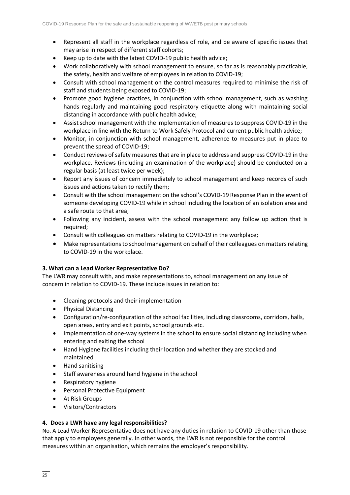- Represent all staff in the workplace regardless of role, and be aware of specific issues that may arise in respect of different staff cohorts;
- Keep up to date with the latest COVID-19 public health advice;
- Work collaboratively with school management to ensure, so far as is reasonably practicable, the safety, health and welfare of employees in relation to COVID-19;
- Consult with school management on the control measures required to minimise the risk of staff and students being exposed to COVID-19;
- Promote good hygiene practices, in conjunction with school management, such as washing hands regularly and maintaining good respiratory etiquette along with maintaining social distancing in accordance with public health advice;
- Assist school management with the implementation of measures to suppress COVID-19 in the workplace in line with the Return to Work Safely Protocol and current public health advice;
- Monitor, in conjunction with school management, adherence to measures put in place to prevent the spread of COVID-19;
- Conduct reviews of safety measures that are in place to address and suppress COVID-19 in the workplace. Reviews (including an examination of the workplace) should be conducted on a regular basis (at least twice per week);
- Report any issues of concern immediately to school management and keep records of such issues and actions taken to rectify them;
- Consult with the school management on the school's COVID-19 Response Plan in the event of someone developing COVID-19 while in school including the location of an isolation area and a safe route to that area;
- Following any incident, assess with the school management any follow up action that is required;
- Consult with colleagues on matters relating to COVID-19 in the workplace;
- Make representations to school management on behalf of their colleagues on matters relating to COVID-19 in the workplace.

#### **3. What can a Lead Worker Representative Do?**

The LWR may consult with, and make representations to, school management on any issue of concern in relation to COVID-19. These include issues in relation to:

- Cleaning protocols and their implementation
- Physical Distancing
- Configuration/re-configuration of the school facilities, including classrooms, corridors, halls, open areas, entry and exit points, school grounds etc.
- Implementation of one-way systems in the school to ensure social distancing including when entering and exiting the school
- Hand Hygiene facilities including their location and whether they are stocked and maintained
- Hand sanitising
- Staff awareness around hand hygiene in the school
- Respiratory hygiene
- Personal Protective Equipment
- At Risk Groups
- Visitors/Contractors

#### **4. Does a LWR have any legal responsibilities?**

No. A Lead Worker Representative does not have any duties in relation to COVID-19 other than those that apply to employees generally. In other words, the LWR is not responsible for the control measures within an organisation, which remains the employer's responsibility.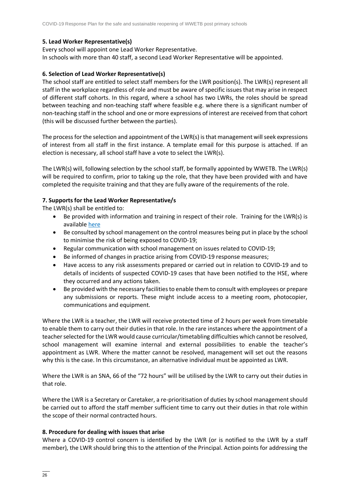### **5. Lead Worker Representative(s)**

Every school will appoint one Lead Worker Representative. In schools with more than 40 staff, a second Lead Worker Representative will be appointed.

### **6. Selection of Lead Worker Representative(s)**

The school staff are entitled to select staff members for the LWR position(s). The LWR(s) represent all staff in the workplace regardless of role and must be aware of specific issues that may arise in respect of different staff cohorts. In this regard, where a school has two LWRs, the roles should be spread between teaching and non-teaching staff where feasible e.g. where there is a significant number of non-teaching staff in the school and one or more expressions of interest are received from that cohort (this will be discussed further between the parties).

The process for the selection and appointment of the LWR(s) is that management will seek expressions of interest from all staff in the first instance. A template email for this purpose is attached. If an election is necessary, all school staff have a vote to select the LWR(s).

The LWR(s) will, following selection by the school staff, be formally appointed by WWETB. The LWR(s) will be required to confirm, prior to taking up the role, that they have been provided with and have completed the requisite training and that they are fully aware of the requirements of the role.

### **7. Supports for the Lead Worker Representative/s**

The LWR(s) shall be entitled to:

- Be provided with information and training in respect of their role. Training for the LWR(s) is available [here](https://www.gov.ie/en/publication/dd7fb-induction-training-for-reopening-schools/#cleaning-induction)
- Be consulted by school management on the control measures being put in place by the school to minimise the risk of being exposed to COVID-19;
- Regular communication with school management on issues related to COVID-19;
- Be informed of changes in practice arising from COVID-19 response measures;
- Have access to any risk assessments prepared or carried out in relation to COVID-19 and to details of incidents of suspected COVID-19 cases that have been notified to the HSE, where they occurred and any actions taken.
- Be provided with the necessary facilities to enable them to consult with employees or prepare any submissions or reports. These might include access to a meeting room, photocopier, communications and equipment.

Where the LWR is a teacher, the LWR will receive protected time of 2 hours per week from timetable to enable them to carry out their duties in that role. In the rare instances where the appointment of a teacher selected for the LWR would cause curricular/timetabling difficulties which cannot be resolved, school management will examine internal and external possibilities to enable the teacher's appointment as LWR. Where the matter cannot be resolved, management will set out the reasons why this is the case. In this circumstance, an alternative individual must be appointed as LWR.

Where the LWR is an SNA, 66 of the "72 hours" will be utilised by the LWR to carry out their duties in that role.

Where the LWR is a Secretary or Caretaker, a re-prioritisation of duties by school management should be carried out to afford the staff member sufficient time to carry out their duties in that role within the scope of their normal contracted hours.

#### **8. Procedure for dealing with issues that arise**

Where a COVID-19 control concern is identified by the LWR (or is notified to the LWR by a staff member), the LWR should bring this to the attention of the Principal. Action points for addressing the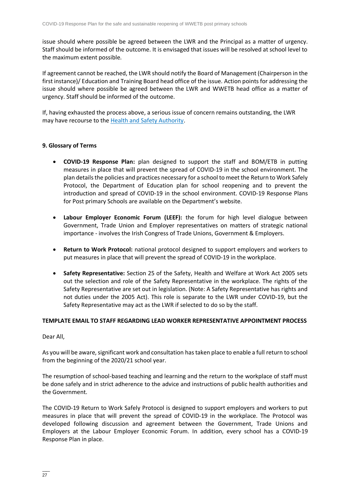issue should where possible be agreed between the LWR and the Principal as a matter of urgency. Staff should be informed of the outcome. It is envisaged that issues will be resolved at school level to the maximum extent possible.

If agreement cannot be reached, the LWR should notify the Board of Management (Chairperson in the first instance)/ Education and Training Board head office of the issue. Action points for addressing the issue should where possible be agreed between the LWR and WWETB head office as a matter of urgency. Staff should be informed of the outcome.

If, having exhausted the process above, a serious issue of concern remains outstanding, the LWR may have recourse to the [Health and Safety Authority.](https://www.hsa.ie/)

### **9. Glossary of Terms**

- **COVID-19 Response Plan:** plan designed to support the staff and BOM/ETB in putting measures in place that will prevent the spread of COVID-19 in the school environment. The plan details the policies and practices necessary for a school to meet the Return to Work Safely Protocol, the Department of Education plan for school reopening and to prevent the introduction and spread of COVID-19 in the school environment. COVID-19 Response Plans for Post primary Schools are available on the Department's website.
- **Labour Employer Economic Forum (LEEF):** the forum for high level dialogue between Government, Trade Union and Employer representatives on matters of strategic national importance - involves the Irish Congress of Trade Unions, Government & Employers.
- **Return to Work Protocol:** national protocol designed to support employers and workers to put measures in place that will prevent the spread of COVID-19 in the workplace.
- **Safety Representative:** Section 25 of the Safety, Health and Welfare at Work Act 2005 sets out the selection and role of the Safety Representative in the workplace. The rights of the Safety Representative are set out in legislation. (Note: A Safety Representative has rights and not duties under the 2005 Act). This role is separate to the LWR under COVID-19, but the Safety Representative may act as the LWR if selected to do so by the staff.

#### **TEMPLATE EMAIL TO STAFF REGARDING LEAD WORKER REPRESENTATIVE APPOINTMENT PROCESS**

#### Dear All,

As you will be aware, significant work and consultation has taken place to enable a full return to school from the beginning of the 2020/21 school year.

The resumption of school-based teaching and learning and the return to the workplace of staff must be done safely and in strict adherence to the advice and instructions of public health authorities and the Government.

The COVID-19 Return to Work Safely Protocol is designed to support employers and workers to put measures in place that will prevent the spread of COVID-19 in the workplace. The Protocol was developed following discussion and agreement between the Government, Trade Unions and Employers at the Labour Employer Economic Forum. In addition, every school has a COVID-19 Response Plan in place.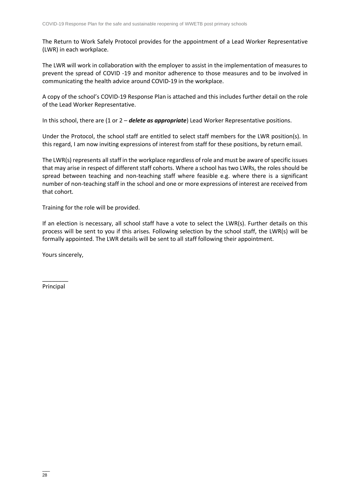The Return to Work Safely Protocol provides for the appointment of a Lead Worker Representative (LWR) in each workplace.

The LWR will work in collaboration with the employer to assist in the implementation of measures to prevent the spread of COVID -19 and monitor adherence to those measures and to be involved in communicating the health advice around COVID-19 in the workplace.

A copy of the school's COVID-19 Response Plan is attached and this includes further detail on the role of the Lead Worker Representative.

In this school, there are (1 or 2 – *delete as appropriate*) Lead Worker Representative positions.

Under the Protocol, the school staff are entitled to select staff members for the LWR position(s). In this regard, I am now inviting expressions of interest from staff for these positions, by return email.

The LWR(s) represents all staff in the workplace regardless of role and must be aware of specific issues that may arise in respect of different staff cohorts. Where a school has two LWRs, the roles should be spread between teaching and non-teaching staff where feasible e.g. where there is a significant number of non-teaching staff in the school and one or more expressions of interest are received from that cohort.

Training for the role will be provided.

If an election is necessary, all school staff have a vote to select the LWR(s). Further details on this process will be sent to you if this arises. Following selection by the school staff, the LWR(s) will be formally appointed. The LWR details will be sent to all staff following their appointment.

Yours sincerely,

\_\_\_\_\_\_\_\_ Principal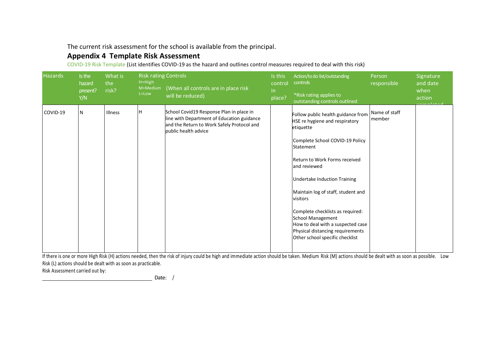The current risk assessment for the school is available from the principal.

# **Appendix 4 Template Risk Assessment**

COVID-19 Risk Template (List identifies COVID-19 as the hazard and outlines control measures required to deal with this risk)

| <b>Hazards</b> | Is the<br>hazard<br>present?<br>Y/N | What is<br>the<br>risk? | <b>Risk rating Controls</b><br>$H = High$<br>M=Medium<br>L=Low | (When all controls are in place risk<br>will be reduced)                                                                                                     | Is this<br>control<br>in.<br>place? | Action/to do list/outstanding<br>controls<br>*Risk rating applies to<br>outstanding controls outlined                                                                                                                                                                                                                                                                                                                                                   | Person<br>responsible   | Signature<br>and date<br>when<br>action |
|----------------|-------------------------------------|-------------------------|----------------------------------------------------------------|--------------------------------------------------------------------------------------------------------------------------------------------------------------|-------------------------------------|---------------------------------------------------------------------------------------------------------------------------------------------------------------------------------------------------------------------------------------------------------------------------------------------------------------------------------------------------------------------------------------------------------------------------------------------------------|-------------------------|-----------------------------------------|
| COVID-19       | N                                   | Illness                 | H                                                              | School Covid19 Response Plan in place in<br>line with Department of Education guidance<br>and the Return to Work Safely Protocol and<br>public health advice |                                     | Follow public health guidance from<br>HSE re hygiene and respiratory<br>etiquette<br>Complete School COVID-19 Policy<br>Statement<br>Return to Work Forms received<br>and reviewed<br><b>Undertake Induction Training</b><br>Maintain log of staff, student and<br>visitors<br>Complete checklists as required:<br><b>School Management</b><br>How to deal with a suspected case<br>Physical distancing requirements<br>Other school specific checklist | Name of staff<br>member |                                         |

If there is one or more High Risk (H) actions needed, then the risk of injury could be high and immediate action should be taken. Medium Risk (M) actions should be dealt with as soon as possible. Low Risk (L) actions should be dealt with as soon as practicable.

Risk Assessment carried out by:

Date: /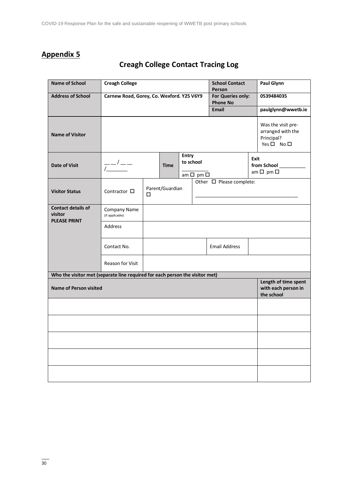# **Appendix 5**

| <b>Name of School</b>                                                        | <b>Creagh College</b>                                                                                                                                                                                                                                                                                                                                                                                                           |                      |             |                                      | <b>School Contact</b><br>Person |                      | <b>Paul Glynn</b>  |                                                                     |  |
|------------------------------------------------------------------------------|---------------------------------------------------------------------------------------------------------------------------------------------------------------------------------------------------------------------------------------------------------------------------------------------------------------------------------------------------------------------------------------------------------------------------------|----------------------|-------------|--------------------------------------|---------------------------------|----------------------|--------------------|---------------------------------------------------------------------|--|
| <b>Address of School</b>                                                     | Carnew Road, Gorey, Co. Wexford. Y25 V6Y9                                                                                                                                                                                                                                                                                                                                                                                       |                      |             | For Queries only:<br><b>Phone No</b> |                                 | 0539484035           |                    |                                                                     |  |
|                                                                              | <b>Email</b>                                                                                                                                                                                                                                                                                                                                                                                                                    |                      |             |                                      |                                 |                      | paulglynn@wwetb.ie |                                                                     |  |
| <b>Name of Visitor</b>                                                       |                                                                                                                                                                                                                                                                                                                                                                                                                                 |                      |             |                                      |                                 |                      |                    | Was the visit pre-<br>arranged with the<br>Principal?<br>Yes □ No □ |  |
| <b>Date of Visit</b>                                                         | $\frac{1}{\sqrt{1-\frac{1}{2}}}\frac{1}{\sqrt{1-\frac{1}{2}}}\frac{1}{\sqrt{1-\frac{1}{2}}}\frac{1}{\sqrt{1-\frac{1}{2}}}\frac{1}{\sqrt{1-\frac{1}{2}}}\frac{1}{\sqrt{1-\frac{1}{2}}}\frac{1}{\sqrt{1-\frac{1}{2}}}\frac{1}{\sqrt{1-\frac{1}{2}}}\frac{1}{\sqrt{1-\frac{1}{2}}}\frac{1}{\sqrt{1-\frac{1}{2}}}\frac{1}{\sqrt{1-\frac{1}{2}}}\frac{1}{\sqrt{1-\frac{1}{2}}}\frac{1}{\sqrt{1-\frac{1}{2}}}\frac{1}{\sqrt{1-\frac{$ |                      | <b>Time</b> | Entry<br>to school                   | am $\square$ pm $\square$       |                      |                    | <b>Exit</b><br>from School<br>am $\square$ pm $\square$             |  |
| <b>Visitor Status</b>                                                        | Contractor $\Box$                                                                                                                                                                                                                                                                                                                                                                                                               | Parent/Guardian<br>□ |             | Other $\Box$ Please complete:        |                                 |                      |                    |                                                                     |  |
| <b>Contact details of</b><br>visitor                                         | Company Name<br>(if applicable)                                                                                                                                                                                                                                                                                                                                                                                                 |                      |             |                                      |                                 |                      |                    |                                                                     |  |
| <b>PLEASE PRINT</b>                                                          | <b>Address</b>                                                                                                                                                                                                                                                                                                                                                                                                                  |                      |             |                                      |                                 |                      |                    |                                                                     |  |
|                                                                              | Contact No.                                                                                                                                                                                                                                                                                                                                                                                                                     |                      |             |                                      |                                 | <b>Email Address</b> |                    |                                                                     |  |
|                                                                              | Reason for Visit                                                                                                                                                                                                                                                                                                                                                                                                                |                      |             |                                      |                                 |                      |                    |                                                                     |  |
| Who the visitor met (separate line required for each person the visitor met) |                                                                                                                                                                                                                                                                                                                                                                                                                                 |                      |             |                                      |                                 |                      |                    |                                                                     |  |
| <b>Name of Person visited</b>                                                |                                                                                                                                                                                                                                                                                                                                                                                                                                 |                      |             |                                      |                                 |                      |                    | Length of time spent<br>with each person in<br>the school           |  |
|                                                                              |                                                                                                                                                                                                                                                                                                                                                                                                                                 |                      |             |                                      |                                 |                      |                    |                                                                     |  |
|                                                                              |                                                                                                                                                                                                                                                                                                                                                                                                                                 |                      |             |                                      |                                 |                      |                    |                                                                     |  |
|                                                                              |                                                                                                                                                                                                                                                                                                                                                                                                                                 |                      |             |                                      |                                 |                      |                    |                                                                     |  |
|                                                                              |                                                                                                                                                                                                                                                                                                                                                                                                                                 |                      |             |                                      |                                 |                      |                    |                                                                     |  |
|                                                                              |                                                                                                                                                                                                                                                                                                                                                                                                                                 |                      |             |                                      |                                 |                      |                    |                                                                     |  |

# **Creagh College Contact Tracing Log**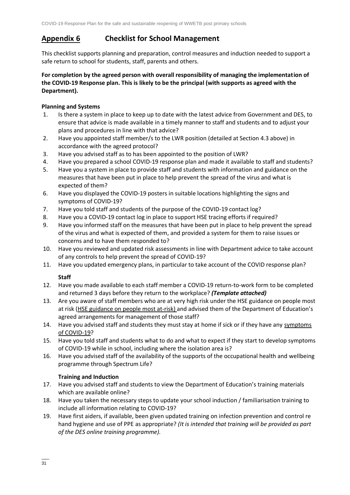### **Appendix 6 Checklist for School Management**

This checklist supports planning and preparation, control measures and induction needed to support a safe return to school for students, staff, parents and others.

### **For completion by the agreed person with overall responsibility of managing the implementation of the COVID-19 Response plan. This is likely to be the principal (with supports as agreed with the Department).**

### **Planning and Systems**

- 1. Is there a system in place to keep up to date with the latest advice from Government and DES, to ensure that advice is made available in a timely manner to staff and students and to adjust your plans and procedures in line with that advice?
- 2. Have you appointed staff member/s to the LWR position (detailed at Section 4.3 above) in accordance with the agreed protocol?
- 3. Have you advised staff as to has been appointed to the position of LWR?
- 4. Have you prepared a school COVID-19 response plan and made it available to staff and students?
- 5. Have you a system in place to provide staff and students with information and guidance on the measures that have been put in place to help prevent the spread of the virus and what is expected of them?
- 6. Have you displayed the COVID-19 posters in suitable locations highlighting the signs and symptoms of COVID-19?
- 7. Have you told staff and students of the purpose of the COVID-19 contact log?
- 8. Have you a COVID-19 contact log in place to support HSE tracing efforts if required?
- 9. Have you informed staff on the measures that have been put in place to help prevent the spread of the virus and what is expected of them, and provided a system for them to raise issues or concerns and to have them responded to?
- 10. Have you reviewed and updated risk assessments in line with Department advice to take account of any controls to help prevent the spread of COVID-19?
- 11. Have you updated emergency plans, in particular to take account of the COVID response plan?

### **Staff**

- 12. Have you made available to each staff member a COVID-19 return-to-work form to be completed and returned 3 days before they return to the workplace? *(Template attached)*
- 13. Are you aware of staff members who are at very high risk under the HSE guidance on people most at risk [\(HSE guidance on people most at-risk\)](https://www2.hse.ie/conditions/coronavirus/people-at-higher-risk.html) and advised them of the Department of Education's agreed arrangements for management of those staff?
- 14. Have you advised staff and students they must stay at home if sick or if they have any [symptoms](https://www2.hse.ie/conditions/coronavirus/symptoms.html)  [of COVID-19?](https://www2.hse.ie/conditions/coronavirus/symptoms.html)
- 15. Have you told staff and students what to do and what to expect if they start to develop symptoms of COVID-19 while in school, including where the isolation area is?
- 16. Have you advised staff of the availability of the supports of the occupational health and wellbeing programme through Spectrum Life?

### **Training and Induction**

- 17. Have you advised staff and students to view the Department of Education's training materials which are available online?
- 18. Have you taken the necessary steps to update your school induction / familiarisation training to include all information relating to COVID-19?
- 19. Have first aiders, if available, been given updated training on infection prevention and control re hand hygiene and use of PPE as appropriate? *(It is intended that training will be provided as part of the DES online training programme).*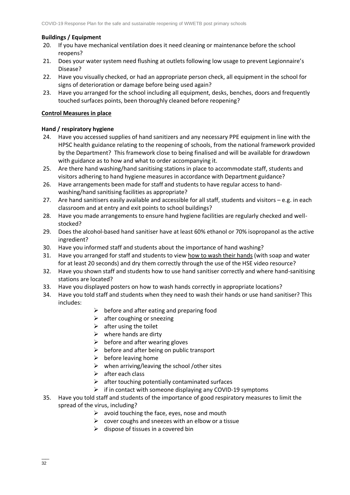### **Buildings / Equipment**

- 20. If you have mechanical ventilation does it need cleaning or maintenance before the school reopens?
- 21. Does your water system need flushing at outlets following low usage to prevent Legionnaire's Disease?
- 22. Have you visually checked, or had an appropriate person check, all equipment in the school for signs of deterioration or damage before being used again?
- 23. Have you arranged for the school including all equipment, desks, benches, doors and frequently touched surfaces points, been thoroughly cleaned before reopening?

#### **Control Measures in place**

### **Hand / respiratory hygiene**

- 24. Have you accessed supplies of hand sanitizers and any necessary PPE equipment in line with the HPSC health guidance relating to the reopening of schools, from the national framework provided by the Department? This framework close to being finalised and will be available for drawdown with guidance as to how and what to order accompanying it.
- 25. Are there hand washing/hand sanitising stations in place to accommodate staff, students and visitors adhering to hand hygiene measures in accordance with Department guidance?
- 26. Have arrangements been made for staff and students to have regular access to handwashing/hand sanitising facilities as appropriate?
- 27. Are hand sanitisers easily available and accessible for all staff, students and visitors e.g. in each classroom and at entry and exit points to school buildings?
- 28. Have you made arrangements to ensure hand hygiene facilities are regularly checked and wellstocked?
- 29. Does the alcohol-based hand sanitiser have at least 60% ethanol or 70% isopropanol as the active ingredient?
- 30. Have you informed staff and students about the importance of hand washing?
- 31. Have you arranged for staff and students to view [how to wash their hands](https://www2.hse.ie/wellbeing/how-to-wash-your-hands.html) (with soap and water for at least 20 seconds) and dry them correctly through the use of the HSE video resource?
- 32. Have you shown staff and students how to use hand sanitiser correctly and where hand-sanitising stations are located?
- 33. Have you displayed posters on how to wash hands correctly in appropriate locations?
- 34. Have you told staff and students when they need to wash their hands or use hand sanitiser? This includes:
	- $\triangleright$  before and after eating and preparing food
	- $\triangleright$  after coughing or sneezing
	- $\triangleright$  after using the toilet
	- $\triangleright$  where hands are dirty
	- $\triangleright$  before and after wearing gloves
	- $\triangleright$  before and after being on public transport
	- $\triangleright$  before leaving home
	- $\triangleright$  when arriving/leaving the school /other sites
	- $\triangleright$  after each class
	- $\triangleright$  after touching potentially contaminated surfaces
	- $\triangleright$  if in contact with someone displaying any COVID-19 symptoms
- 35. Have you told staff and students of the importance of good respiratory measures to limit the spread of the virus, including?
	- $\triangleright$  avoid touching the face, eyes, nose and mouth
	- $\triangleright$  cover coughs and sneezes with an elbow or a tissue
	- $\triangleright$  dispose of tissues in a covered bin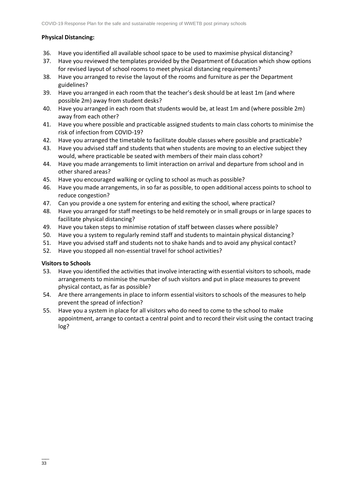### **Physical Distancing:**

- 36. Have you identified all available school space to be used to maximise physical distancing?
- 37. Have you reviewed the templates provided by the Department of Education which show options for revised layout of school rooms to meet physical distancing requirements?
- 38. Have you arranged to revise the layout of the rooms and furniture as per the Department guidelines?
- 39. Have you arranged in each room that the teacher's desk should be at least 1m (and where possible 2m) away from student desks?
- 40. Have you arranged in each room that students would be, at least 1m and (where possible 2m) away from each other?
- 41. Have you where possible and practicable assigned students to main class cohorts to minimise the risk of infection from COVID-19?
- 42. Have you arranged the timetable to facilitate double classes where possible and practicable?
- 43. Have you advised staff and students that when students are moving to an elective subject they would, where practicable be seated with members of their main class cohort?
- 44. Have you made arrangements to limit interaction on arrival and departure from school and in other shared areas?
- 45. Have you encouraged walking or cycling to school as much as possible?
- 46. Have you made arrangements, in so far as possible, to open additional access points to school to reduce congestion?
- 47. Can you provide a one system for entering and exiting the school, where practical?
- 48. Have you arranged for staff meetings to be held remotely or in small groups or in large spaces to facilitate physical distancing?
- 49. Have you taken steps to minimise rotation of staff between classes where possible?
- 50. Have you a system to regularly remind staff and students to maintain physical distancing?
- 51. Have you advised staff and students not to shake hands and to avoid any physical contact?
- 52. Have you stopped all non-essential travel for school activities?

### **Visitors to Schools**

- 53. Have you identified the activities that involve interacting with essential visitors to schools, made arrangements to minimise the number of such visitors and put in place measures to prevent physical contact, as far as possible?
- 54. Are there arrangements in place to inform essential visitors to schools of the measures to help prevent the spread of infection?
- 55. Have you a system in place for all visitors who do need to come to the school to make appointment, arrange to contact a central point and to record their visit using the contact tracing log?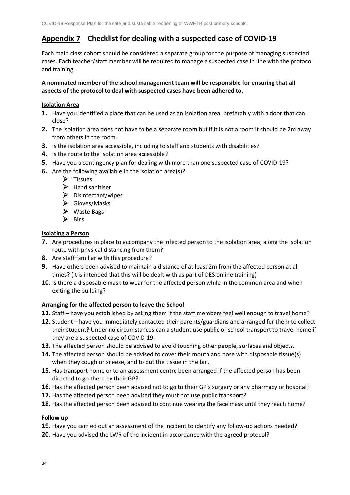### **Appendix 7 Checklist for dealing with a suspected case of COVID-19**

Each main class cohort should be considered a separate group for the purpose of managing suspected cases. Each teacher/staff member will be required to manage a suspected case in line with the protocol and training.

### **A nominated member of the school management team will be responsible for ensuring that all aspects of the protocol to deal with suspected cases have been adhered to.**

### **Isolation Area**

- **1.** Have you identified a place that can be used as an isolation area, preferably with a door that can close?
- **2.** The isolation area does not have to be a separate room but if it is not a room it should be 2m away from others in the room.
- **3.** Is the isolation area accessible, including to staff and students with disabilities?
- **4.** Is the route to the isolation area accessible?
- **5.** Have you a contingency plan for dealing with more than one suspected case of COVID-19?
- **6.** Are the following available in the isolation area(s)?
	- ➢ Tissues
	- ➢ Hand sanitiser
	- ➢ Disinfectant/wipes
	- ➢ Gloves/Masks
	- ➢ Waste Bags
	- ➢ Bins

### **Isolating a Person**

- **7.** Are procedures in place to accompany the infected person to the isolation area, along the isolation route with physical distancing from them?
- **8.** Are staff familiar with this procedure?
- **9.** Have others been advised to maintain a distance of at least 2m from the affected person at all times? (it is intended that this will be dealt with as part of DES online training)
- **10.** Is there a disposable mask to wear for the affected person while in the common area and when exiting the building?

#### **Arranging for the affected person to leave the School**

- **11.** Staff have you established by asking them if the staff members feel well enough to travel home?
- **12.** Student have you immediately contacted their parents/guardians and arranged for them to collect their student? Under no circumstances can a student use public or school transport to travel home if they are a suspected case of COVID-19.
- **13.** The affected person should be advised to avoid touching other people, surfaces and objects.
- **14.** The affected person should be advised to cover their mouth and nose with disposable tissue(s) when they cough or sneeze, and to put the tissue in the bin.
- **15.** Has transport home or to an assessment centre been arranged if the affected person has been directed to go there by their GP?
- **16.** Has the affected person been advised not to go to their GP's surgery or any pharmacy or hospital?
- **17.** Has the affected person been advised they must not use public transport?
- **18.** Has the affected person been advised to continue wearing the face mask until they reach home?

### **Follow up**

- **19.** Have you carried out an assessment of the incident to identify any follow-up actions needed?
- **20.** Have you advised the LWR of the incident in accordance with the agreed protocol?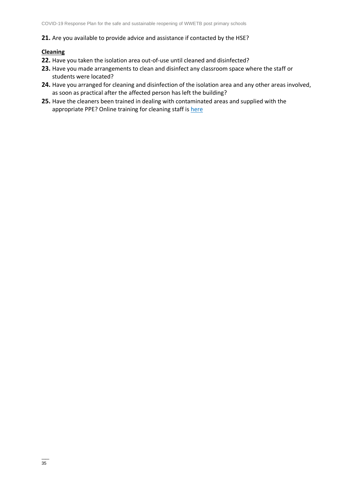#### **21.** Are you available to provide advice and assistance if contacted by the HSE?

#### **Cleaning**

- **22.** Have you taken the isolation area out-of-use until cleaned and disinfected?
- **23.** Have you made arrangements to clean and disinfect any classroom space where the staff or students were located?
- **24.** Have you arranged for cleaning and disinfection of the isolation area and any other areas involved, as soon as practical after the affected person has left the building?
- **25.** Have the cleaners been trained in dealing with contaminated areas and supplied with the appropriate PPE? Online training for cleaning staff i[s here](https://www.gov.ie/en/publication/dd7fb-induction-training-for-reopening-schools/#cleaning-induction)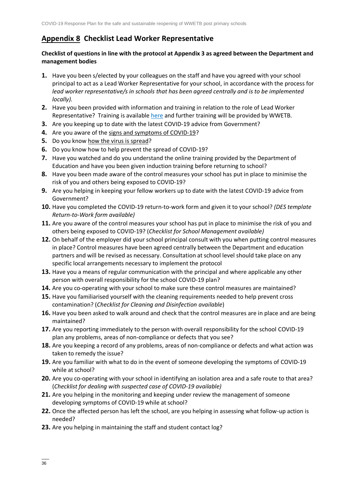### **Appendix 8 Checklist Lead Worker Representative**

### **Checklist of questions in line with the protocol at Appendix 3 as agreed between the Department and management bodies**

- **1.** Have you been s/elected by your colleagues on the staff and have you agreed with your school principal to act as a Lead Worker Representative for your school, in accordance with the process for *lead worker representative/s in schools that has been agreed centrally and is to be implemented locally).*
- **2.** Have you been provided with information and training in relation to the role of Lead Worker Representative? Training is available [here](https://www.gov.ie/en/publication/dd7fb-induction-training-for-reopening-schools/#cleaning-induction) and further training will be provided by WWETB.
- **3.** Are you keeping up to date with the latest COVID-19 advice from Government?
- **4.** Are you aware of the [signs and symptoms of COVID-19?](https://www2.hse.ie/conditions/coronavirus/symptoms.html)
- **5.** Do you know [how the virus is spread?](https://www2.hse.ie/conditions/coronavirus/how-coronavirus-is-spread.html)
- **6.** Do you know how to help prevent the spread of COVID-19?
- **7.** Have you watched and do you understand the online training provided by the Department of Education and have you been given induction training before returning to school?
- **8.** Have you been made aware of the control measures your school has put in place to minimise the risk of you and others being exposed to COVID-19?
- **9.** Are you helping in keeping your fellow workers up to date with the latest COVID-19 advice from Government?
- **10.** Have you completed the COVID-19 return-to-work form and given it to your school? *(DES template Return-to-Work form available)*
- **11.** Are you aware of the control measures your school has put in place to minimise the risk of you and others being exposed to COVID-19? (*Checklist for School Management available)*
- **12.** On behalf of the employer did your school principal consult with you when putting control measures in place? Control measures have been agreed centrally between the Department and education partners and will be revised as necessary. Consultation at school level should take place on any specific local arrangements necessary to implement the protocol
- **13.** Have you a means of regular communication with the principal and where applicable any other person with overall responsibility for the school COVID-19 plan?
- **14.** Are you co-operating with your school to make sure these control measures are maintained?
- **15.** Have you familiarised yourself with the cleaning requirements needed to help prevent cross contamination? (*Checklist for Cleaning and Disinfection available*)
- **16.** Have you been asked to walk around and check that the control measures are in place and are being maintained?
- **17.** Are you reporting immediately to the person with overall responsibility for the school COVID-19 plan any problems, areas of non-compliance or defects that you see?
- **18.** Are you keeping a record of any problems, areas of non-compliance or defects and what action was taken to remedy the issue?
- **19.** Are you familiar with what to do in the event of someone developing the symptoms of COVID-19 while at school?
- **20.** Are you co-operating with your school in identifying an isolation area and a safe route to that area? (*Checklist for dealing with suspected case of COVID-19 available)*
- **21.** Are you helping in the monitoring and keeping under review the management of someone developing symptoms of COVID-19 while at school?
- **22.** Once the affected person has left the school, are you helping in assessing what follow-up action is needed?
- **23.** Are you helping in maintaining the staff and student contact log?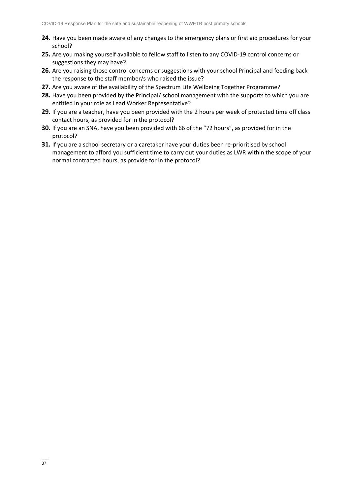- **24.** Have you been made aware of any changes to the emergency plans or first aid procedures for your school?
- **25.** Are you making yourself available to fellow staff to listen to any COVID-19 control concerns or suggestions they may have?
- **26.** Are you raising those control concerns or suggestions with your school Principal and feeding back the response to the staff member/s who raised the issue?
- **27.** Are you aware of the availability of the Spectrum Life Wellbeing Together Programme?
- **28.** Have you been provided by the Principal/ school management with the supports to which you are entitled in your role as Lead Worker Representative?
- **29.** If you are a teacher, have you been provided with the 2 hours per week of protected time off class contact hours, as provided for in the protocol?
- **30.** If you are an SNA, have you been provided with 66 of the "72 hours", as provided for in the protocol?
- **31.** If you are a school secretary or a caretaker have your duties been re-prioritised by school management to afford you sufficient time to carry out your duties as LWR within the scope of your normal contracted hours, as provide for in the protocol?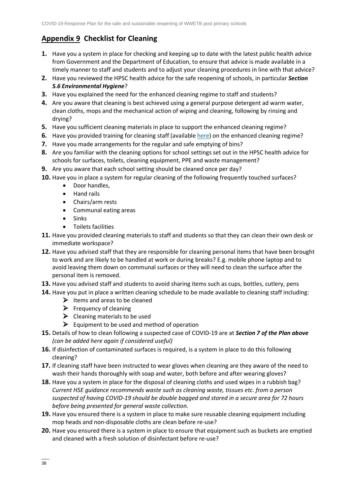# **Appendix 9 Checklist for Cleaning**

- **1.** Have you a system in place for checking and keeping up to date with the latest public health advice from Government and the Department of Education, to ensure that advice is made available in a timely manner to staff and students and to adjust your cleaning procedures in line with that advice?
- **2.** Have you reviewed the HPSC health advice for the safe reopening of schools, in particular *Section 5.6 Environmental Hygiene*?
- **3.** Have you explained the need for the enhanced cleaning regime to staff and students?
- **4.** Are you aware that cleaning is best achieved using a general purpose detergent ad warm water, clean cloths, mops and the mechanical action of wiping and cleaning, following by rinsing and drying?
- **5.** Have you sufficient cleaning materials in place to support the enhanced cleaning regime?
- **6.** Have you provided training for cleaning staff (availabl[e here\)](https://www.gov.ie/en/publication/dd7fb-induction-training-for-reopening-schools/#cleaning-induction) on the enhanced cleaning regime?
- **7.** Have you made arrangements for the regular and safe emptying of bins?
- **8.** Are you familiar with the cleaning options for school settings set out in the HPSC health advice for schools for surfaces, toilets, cleaning equipment, PPE and waste management?
- **9.** Are you aware that each school setting should be cleaned once per day?
- **10.** Have you in place a system for regular cleaning of the following frequently touched surfaces?
	- Door handles,
	- Hand rails
	- Chairs/arm rests
	- Communal eating areas
	- Sinks
	- Toilets facilities
- **11.** Have you provided cleaning materials to staff and students so that they can clean their own desk or immediate workspace?
- **12.** Have you advised staff that they are responsible for cleaning personal items that have been brought to work and are likely to be handled at work or during breaks? E.g. mobile phone laptop and to avoid leaving them down on communal surfaces or they will need to clean the surface after the personal item is removed.
- **13.** Have you advised staff and students to avoid sharing items such as cups, bottles, cutlery, pens
- **14.** Have you put in place a written cleaning schedule to be made available to cleaning staff including:
	- $\blacktriangleright$  Items and areas to be cleaned
	- $\triangleright$  Frequency of cleaning
	- $\triangleright$  Cleaning materials to be used
	- $\triangleright$  Equipment to be used and method of operation
- **15.** Details of how to clean following a suspected case of COVID-19 are at *Section 7 of the Plan above (can be added here again if considered useful)*
- **16.** If disinfection of contaminated surfaces is required, is a system in place to do this following cleaning?
- **17.** If cleaning staff have been instructed to wear gloves when cleaning are they aware of the need to wash their hands thoroughly with soap and water, both before and after wearing gloves?
- **18.** Have you a system in place for the disposal of cleaning cloths and used wipes in a rubbish bag? *Current HSE guidance recommends waste such as cleaning waste, tissues etc. from a person suspected of having COVID-19 should be double bagged and stored in a secure area for 72 hours before being presented for general waste collection.*
- **19.** Have you ensured there is a system in place to make sure reusable cleaning equipment including mop heads and non-disposable cloths are clean before re-use?
- **20.** Have you ensured there is a system in place to ensure that equipment such as buckets are emptied and cleaned with a fresh solution of disinfectant before re-use?